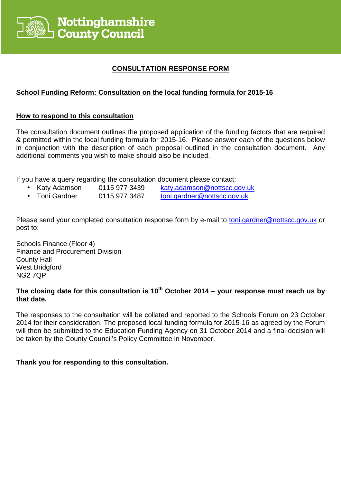

# **CONSULTATION RESPONSE FORM**

# **School Funding Reform: Consultation on the local funding formula for 2015-16**

### **How to respond to this consultation**

The consultation document outlines the proposed application of the funding factors that are required & permitted within the local funding formula for 2015-16. Please answer each of the questions below in conjunction with the description of each proposal outlined in the consultation document. Any additional comments you wish to make should also be included.

If you have a query regarding the consultation document please contact:

- Katy Adamson 0115 977 3439 katy.adamson@nottscc.gov.uk
- Toni Gardner 0115 977 3487 toni.gardner@nottscc.gov.uk.
- 

Please send your completed consultation response form by e-mail to toni.gardner@nottscc.gov.uk or post to:

Schools Finance (Floor 4) Finance and Procurement Division County Hall West Bridgford NG2 7QP

# **The closing date for this consultation is 10th October 2014 – your response must reach us by that date.**

The responses to the consultation will be collated and reported to the Schools Forum on 23 October 2014 for their consideration. The proposed local funding formula for 2015-16 as agreed by the Forum will then be submitted to the Education Funding Agency on 31 October 2014 and a final decision will be taken by the County Council's Policy Committee in November.

### **Thank you for responding to this consultation.**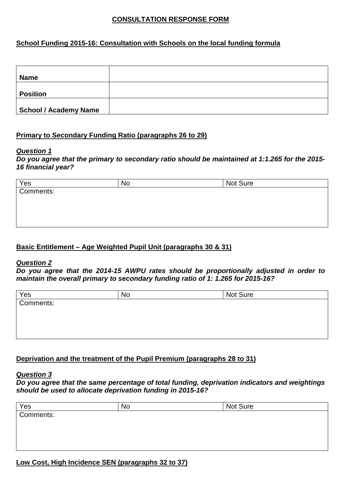# **CONSULTATION RESPONSE FORM**

# **School Funding 2015-16: Consultation with Schools on the local funding formula**

| <b>Name</b>                  |  |
|------------------------------|--|
| <b>Position</b>              |  |
| <b>School / Academy Name</b> |  |

## **Primary to Secondary Funding Ratio (paragraphs 26 to 29)**

#### **Question 1**

**Do you agree that the primary to secondary ratio should be maintained at 1:1.265 for the 2015- 16 financial year?** 

| No | Not Sure |  |
|----|----------|--|
|    |          |  |
|    |          |  |
|    |          |  |
|    |          |  |
|    |          |  |

# **Basic Entitlement – Age Weighted Pupil Unit (paragraphs 30 & 31)**

#### **Question 2**

**Do you agree that the 2014-15 AWPU rates should be proportionally adjusted in order to maintain the overall primary to secondary funding ratio of 1: 1.265 for 2015-16?** 

| Yes       | <b>No</b> | Not Sure |  |
|-----------|-----------|----------|--|
| Comments: |           |          |  |
|           |           |          |  |
|           |           |          |  |
|           |           |          |  |
|           |           |          |  |

# **Deprivation and the treatment of the Pupil Premium (paragraphs 28 to 31)**

### **Question 3**

**Do you agree that the same percentage of total funding, deprivation indicators and weightings should be used to allocate deprivation funding in 2015-16?** 

| Yes       | No | Not Sure |
|-----------|----|----------|
| Comments: |    |          |
|           |    |          |
|           |    |          |
|           |    |          |
|           |    |          |

# **Low Cost, High Incidence SEN (paragraphs 32 to 37)**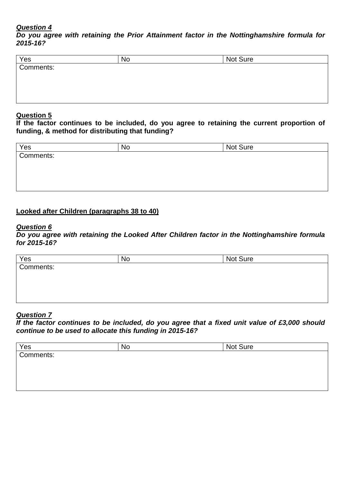**Do you agree with retaining the Prior Attainment factor in the Nottinghamshire formula for 2015-16?** 

| Yes       | <b>No</b> | Not Sure |  |
|-----------|-----------|----------|--|
| Comments: |           |          |  |
|           |           |          |  |
|           |           |          |  |
|           |           |          |  |

### **Question 5**

**If the factor continues to be included, do you agree to retaining the current proportion of funding, & method for distributing that funding?** 

| Yes       | No | Not Sure |
|-----------|----|----------|
| Comments: |    |          |
|           |    |          |
|           |    |          |
|           |    |          |
|           |    |          |

# **Looked after Children (paragraphs 38 to 40)**

#### **Question 6**

**Do you agree with retaining the Looked After Children factor in the Nottinghamshire formula for 2015-16?** 

| Yes       | No | Not Sure |
|-----------|----|----------|
| Comments: |    |          |
|           |    |          |
|           |    |          |
|           |    |          |
|           |    |          |

## **Question 7**

**If the factor continues to be included, do you agree that a fixed unit value of £3,000 should continue to be used to allocate this funding in 2015-16?** 

| Yes       | No | Not Sure |
|-----------|----|----------|
| Comments: |    |          |
|           |    |          |
|           |    |          |
|           |    |          |
|           |    |          |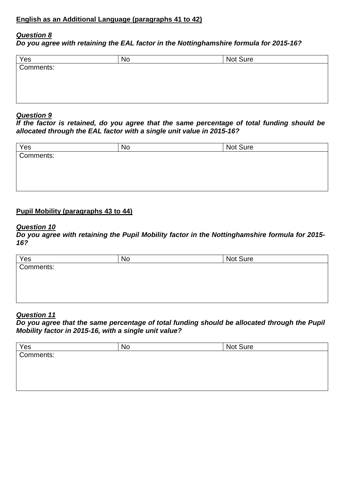**Do you agree with retaining the EAL factor in the Nottinghamshire formula for 2015-16?** 

| Yes       | No | Not Sure |  |
|-----------|----|----------|--|
| Comments: |    |          |  |
|           |    |          |  |
|           |    |          |  |
|           |    |          |  |

### **Question 9**

**If the factor is retained, do you agree that the same percentage of total funding should be allocated through the EAL factor with a single unit value in 2015-16?** 

| Yes       | No | Not Sure |
|-----------|----|----------|
| Comments: |    |          |
|           |    |          |
|           |    |          |
|           |    |          |
|           |    |          |

## **Pupil Mobility (paragraphs 43 to 44)**

#### **Question 10**

**Do you agree with retaining the Pupil Mobility factor in the Nottinghamshire formula for 2015- 16?** 

| Yes       | <b>No</b> | Not Sure |
|-----------|-----------|----------|
| Comments: |           |          |
|           |           |          |
|           |           |          |
|           |           |          |
|           |           |          |

## **Question 11**

**Do you agree that the same percentage of total funding should be allocated through the Pupil Mobility factor in 2015-16, with a single unit value?** 

| Yes       | <b>No</b> | Not Sure |  |
|-----------|-----------|----------|--|
| Comments: |           |          |  |
|           |           |          |  |
|           |           |          |  |
|           |           |          |  |
|           |           |          |  |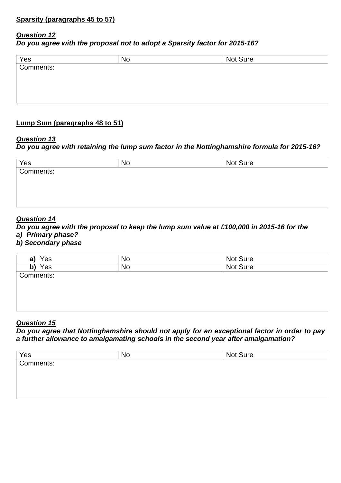**Do you agree with the proposal not to adopt a Sparsity factor for 2015-16?** 

| No | Not Sure |  |
|----|----------|--|
|    |          |  |
|    |          |  |
|    |          |  |
|    |          |  |
|    |          |  |

# **Lump Sum (paragraphs 48 to 51)**

### **Question 13**

## **Do you agree with retaining the lump sum factor in the Nottinghamshire formula for 2015-16?**

| <b>No</b> | Not Sure |  |
|-----------|----------|--|
|           |          |  |
|           |          |  |
|           |          |  |
|           |          |  |
|           |          |  |

### **Question 14**

**Do you agree with the proposal to keep the lump sum value at £100,000 in 2015-16 for the a) Primary phase?** 

### **b) Secondary phase**

| Yes<br>a) | No        | Not Sure |
|-----------|-----------|----------|
| Yes<br>b) | <b>No</b> | Not Sure |
| Comments: |           |          |
|           |           |          |
|           |           |          |
|           |           |          |
|           |           |          |

### **Question 15**

**Do you agree that Nottinghamshire should not apply for an exceptional factor in order to pay a further allowance to amalgamating schools in the second year after amalgamation?** 

| Yes       | No | Not Sure |  |
|-----------|----|----------|--|
| Comments: |    |          |  |
|           |    |          |  |
|           |    |          |  |
|           |    |          |  |
|           |    |          |  |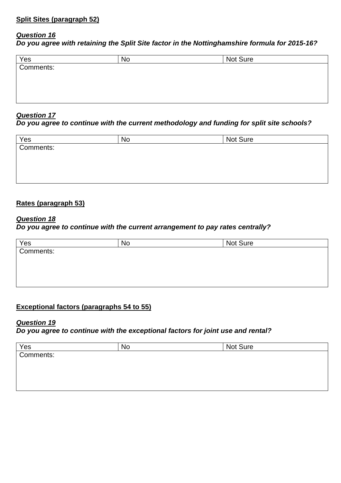**Do you agree with retaining the Split Site factor in the Nottinghamshire formula for 2015-16?** 

| Not Sure |
|----------|
|          |
|          |
|          |
|          |
|          |

### **Question 17**

### **Do you agree to continue with the current methodology and funding for split site schools?**

| Yes       | No | Not Sure |  |
|-----------|----|----------|--|
| Comments: |    |          |  |
|           |    |          |  |
|           |    |          |  |
|           |    |          |  |
|           |    |          |  |

# **Rates (paragraph 53)**

## **Question 18**

### **Do you agree to continue with the current arrangement to pay rates centrally?**

| Yes       | N0 | <b>Not Sure</b> |  |
|-----------|----|-----------------|--|
| Comments: |    |                 |  |
|           |    |                 |  |
|           |    |                 |  |
|           |    |                 |  |
|           |    |                 |  |

# **Exceptional factors (paragraphs 54 to 55)**

### **Question 19**

**Do you agree to continue with the exceptional factors for joint use and rental?** 

| Yes       | <b>No</b> | Not Sure |  |
|-----------|-----------|----------|--|
| Comments: |           |          |  |
|           |           |          |  |
|           |           |          |  |
|           |           |          |  |
|           |           |          |  |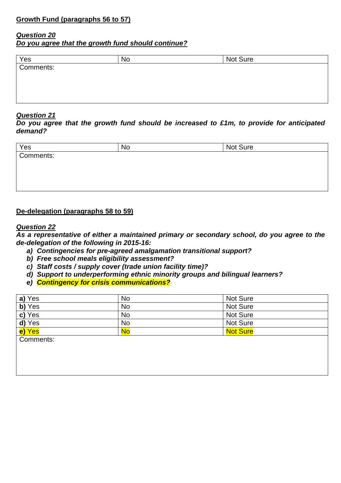**Do you agree that the growth fund should continue?** 

| Yes       | <b>No</b> | Not Sure |
|-----------|-----------|----------|
| Comments: |           |          |
|           |           |          |
|           |           |          |
|           |           |          |
|           |           |          |

### **Question 21**

**Do you agree that the growth fund should be increased to £1m, to provide for anticipated demand?** 

| Yes       | No | Not Sure |
|-----------|----|----------|
| Comments: |    |          |
|           |    |          |
|           |    |          |
|           |    |          |
|           |    |          |

## **De-delegation (paragraphs 58 to 59)**

#### **Question 22**

**As a representative of either a maintained primary or secondary school, do you agree to the de-delegation of the following in 2015-16:** 

- **a) Contingencies for pre-agreed amalgamation transitional support?**
- **b) Free school meals eligibility assessment?**
- **c) Staff costs / supply cover (trade union facility time)?**
- **d) Support to underperforming ethnic minority groups and bilingual learners?**
- **e) Contingency for crisis communications?**

| a) Yes    | <b>No</b> | Not Sure        |
|-----------|-----------|-----------------|
| b) Yes    | <b>No</b> | Not Sure        |
| c) Yes    | <b>No</b> | Not Sure        |
| d) Yes    | <b>No</b> | Not Sure        |
| e) Yes    | <b>No</b> | <b>Not Sure</b> |
| Comments: |           |                 |
|           |           |                 |
|           |           |                 |
|           |           |                 |